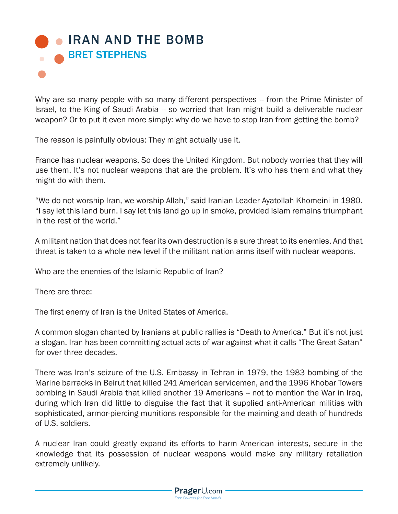## **. IRAN AND THE BOMB** BRET STEPHENS

Why are so many people with so many different perspectives -- from the Prime Minister of Israel, to the King of Saudi Arabia -- so worried that Iran might build a deliverable nuclear weapon? Or to put it even more simply: why do we have to stop Iran from getting the bomb?

The reason is painfully obvious: They might actually use it.

France has nuclear weapons. So does the United Kingdom. But nobody worries that they will use them. It's not nuclear weapons that are the problem. It's who has them and what they might do with them.

"We do not worship Iran, we worship Allah," said Iranian Leader Ayatollah Khomeini in 1980. "I say let this land burn. I say let this land go up in smoke, provided Islam remains triumphant in the rest of the world."

A militant nation that does not fear its own destruction is a sure threat to its enemies. And that threat is taken to a whole new level if the militant nation arms itself with nuclear weapons.

Who are the enemies of the Islamic Republic of Iran?

There are three:

The first enemy of Iran is the United States of America.

A common slogan chanted by Iranians at public rallies is "Death to America." But it's not just a slogan. Iran has been committing actual acts of war against what it calls "The Great Satan" for over three decades.

There was Iran's seizure of the U.S. Embassy in Tehran in 1979, the 1983 bombing of the Marine barracks in Beirut that killed 241 American servicemen, and the 1996 Khobar Towers bombing in Saudi Arabia that killed another 19 Americans -- not to mention the War in Iraq, during which Iran did little to disguise the fact that it supplied anti-American militias with sophisticated, armor-piercing munitions responsible for the maiming and death of hundreds of U.S. soldiers.

A nuclear Iran could greatly expand its efforts to harm American interests, secure in the knowledge that its possession of nuclear weapons would make any military retaliation extremely unlikely.